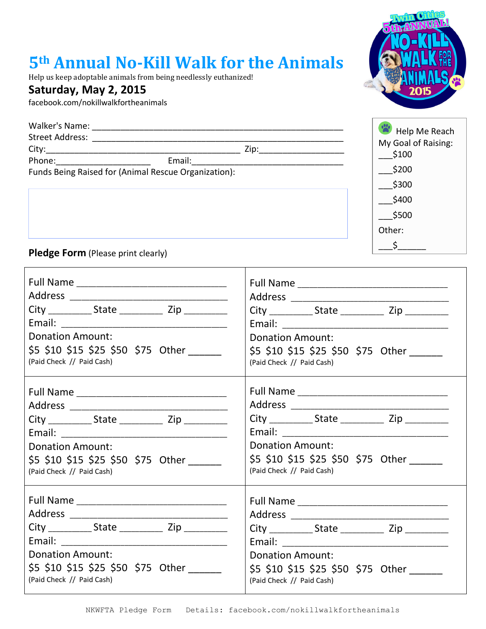## **5th Annual No-Kill Walk for the Animals**

Help us keep adoptable animals from being needlessly euthanized!

## **Saturday, May 2, 2015**

facebook.com/nokillwalkfortheanimals

| Walker's Name:<br><b>Street Address:</b>             |        |  |  |
|------------------------------------------------------|--------|--|--|
| City:                                                | Zip:   |  |  |
| Phone:                                               | Email: |  |  |
| Funds Being Raised for (Animal Rescue Organization): |        |  |  |



- \_\_\_\$200 \_\_\_\$300
- $$400$
- \_\_\_\$500
- Other:
	- $\zeta$

**Pledge Form** (Please print clearly)

| City _______________ State _______________ Zip _____________ |                                           |
|--------------------------------------------------------------|-------------------------------------------|
|                                                              |                                           |
| <b>Donation Amount:</b>                                      | <b>Donation Amount:</b>                   |
| \$5 \$10 \$15 \$25 \$50 \$75 Other ______                    | \$5 \$10 \$15 \$25 \$50 \$75 Other ______ |
| (Paid Check // Paid Cash)                                    | (Paid Check // Paid Cash)                 |
|                                                              |                                           |
|                                                              |                                           |
| City ______________State _________________ Zip _____________ |                                           |
|                                                              |                                           |
| <b>Donation Amount:</b>                                      | <b>Donation Amount:</b>                   |
| \$5 \$10 \$15 \$25 \$50 \$75 Other _____                     | \$5 \$10 \$15 \$25 \$50 \$75 Other        |
| (Paid Check // Paid Cash)                                    | (Paid Check // Paid Cash)                 |
|                                                              |                                           |
|                                                              |                                           |
| City _______________ State _______________ Zip _____________ |                                           |
|                                                              |                                           |
| <b>Donation Amount:</b>                                      | <b>Donation Amount:</b>                   |
| \$5 \$10 \$15 \$25 \$50 \$75 Other ______                    | \$5 \$10 \$15 \$25 \$50 \$75 Other        |
| (Paid Check // Paid Cash)                                    | (Paid Check // Paid Cash)                 |